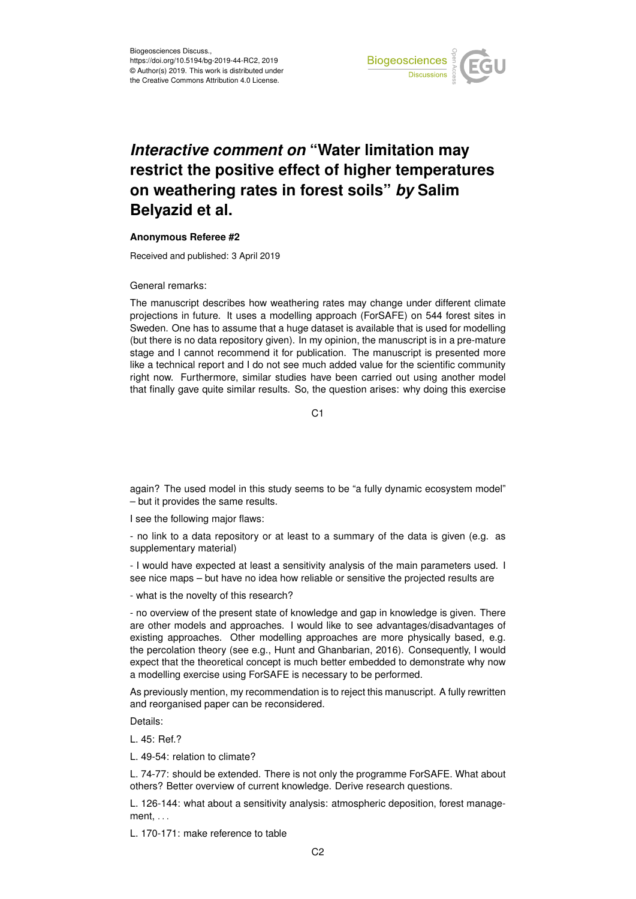

## *Interactive comment on* **"Water limitation may restrict the positive effect of higher temperatures on weathering rates in forest soils"** *by* **Salim Belyazid et al.**

## **Anonymous Referee #2**

Received and published: 3 April 2019

General remarks:

The manuscript describes how weathering rates may change under different climate projections in future. It uses a modelling approach (ForSAFE) on 544 forest sites in Sweden. One has to assume that a huge dataset is available that is used for modelling (but there is no data repository given). In my opinion, the manuscript is in a pre-mature stage and I cannot recommend it for publication. The manuscript is presented more like a technical report and I do not see much added value for the scientific community right now. Furthermore, similar studies have been carried out using another model that finally gave quite similar results. So, the question arises: why doing this exercise

C1

again? The used model in this study seems to be "a fully dynamic ecosystem model" – but it provides the same results.

I see the following major flaws:

- no link to a data repository or at least to a summary of the data is given (e.g. as supplementary material)

- I would have expected at least a sensitivity analysis of the main parameters used. I see nice maps – but have no idea how reliable or sensitive the projected results are

- what is the novelty of this research?

- no overview of the present state of knowledge and gap in knowledge is given. There are other models and approaches. I would like to see advantages/disadvantages of existing approaches. Other modelling approaches are more physically based, e.g. the percolation theory (see e.g., Hunt and Ghanbarian, 2016). Consequently, I would expect that the theoretical concept is much better embedded to demonstrate why now a modelling exercise using ForSAFE is necessary to be performed.

As previously mention, my recommendation is to reject this manuscript. A fully rewritten and reorganised paper can be reconsidered.

Details:

L. 45: Ref.?

L. 49-54: relation to climate?

L. 74-77: should be extended. There is not only the programme ForSAFE. What about others? Better overview of current knowledge. Derive research questions.

L. 126-144: what about a sensitivity analysis: atmospheric deposition, forest management, . . .

L. 170-171: make reference to table